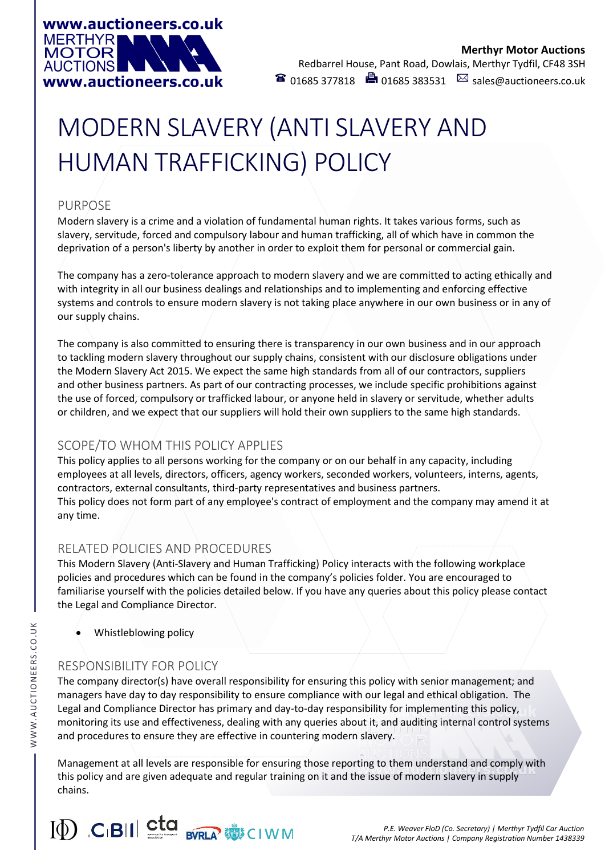

# MODERN SLAVERY (ANTI SLAVERY AND HUMAN TRAFFICKING) POLICY

## PURPOSE

Modern slavery is a crime and a violation of fundamental human rights. It takes various forms, such as slavery, servitude, forced and compulsory labour and human trafficking, all of which have in common the deprivation of a person's liberty by another in order to exploit them for personal or commercial gain.

The company has a zero-tolerance approach to modern slavery and we are committed to acting ethically and with integrity in all our business dealings and relationships and to implementing and enforcing effective systems and controls to ensure modern slavery is not taking place anywhere in our own business or in any of our supply chains.

The company is also committed to ensuring there is transparency in our own business and in our approach to tackling modern slavery throughout our supply chains, consistent with our disclosure obligations under the Modern Slavery Act 2015. We expect the same high standards from all of our contractors, suppliers and other business partners. As part of our contracting processes, we include specific prohibitions against the use of forced, compulsory or trafficked labour, or anyone held in slavery or servitude, whether adults or children, and we expect that our suppliers will hold their own suppliers to the same high standards.

# SCOPE/TO WHOM THIS POLICY APPLIES

This policy applies to all persons working for the company or on our behalf in any capacity, including employees at all levels, directors, officers, agency workers, seconded workers, volunteers, interns, agents, contractors, external consultants, third-party representatives and business partners. This policy does not form part of any employee's contract of employment and the company may amend it at any time.

# RELATED POLICIES AND PROCEDURES

This Modern Slavery (Anti-Slavery and Human Trafficking) Policy interacts with the following workplace policies and procedures which can be found in the company's policies folder. You are encouraged to familiarise yourself with the policies detailed below. If you have any queries about this policy please contact the Legal and Compliance Director.

• Whistleblowing policy

# RESPONSIBILITY FOR POLICY

The company director(s) have overall responsibility for ensuring this policy with senior management; and managers have day to day responsibility to ensure compliance with our legal and ethical obligation. The Legal and Compliance Director has primary and day-to-day responsibility for implementing this policy, monitoring its use and effectiveness, dealing with any queries about it, and auditing internal control systems and procedures to ensure they are effective in countering modern slavery.

Management at all levels are responsible for ensuring those reporting to them understand and comply with this policy and are given adequate and regular training on it and the issue of modern slavery in supply chains.